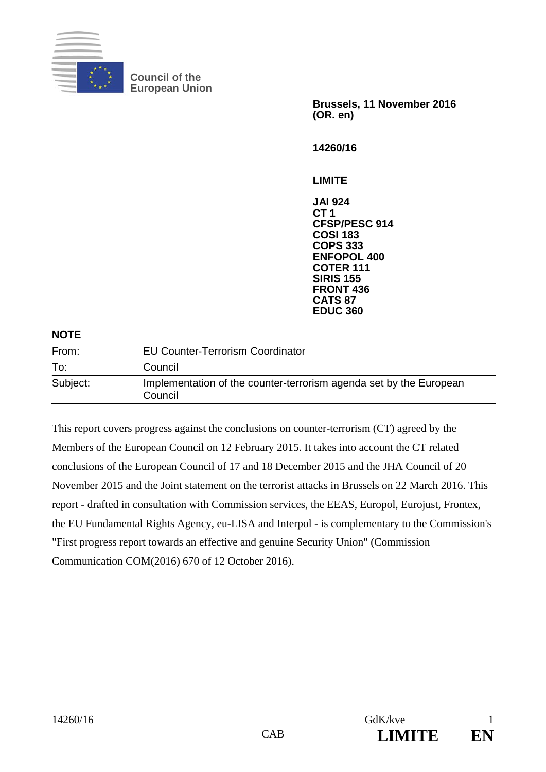

**Council of the European Union** 

> **Brussels, 11 November 2016 (OR. en)**

**14260/16** 

**LIMITE** 

**JAI 924 CT 1 CFSP/PESC 914 COSI 183 COPS 333 ENFOPOL 400 COTER 111 SIRIS 155 FRONT 436 CATS 87 EDUC 360**

#### **NOTE**

| From:    | <b>EU Counter-Terrorism Coordinator</b>                                       |
|----------|-------------------------------------------------------------------------------|
| To:      | Council                                                                       |
| Subject: | Implementation of the counter-terrorism agenda set by the European<br>Council |

This report covers progress against the conclusions on counter-terrorism (CT) agreed by the Members of the European Council on 12 February 2015. It takes into account the CT related conclusions of the European Council of 17 and 18 December 2015 and the JHA Council of 20 November 2015 and the Joint statement on the terrorist attacks in Brussels on 22 March 2016. This report - drafted in consultation with Commission services, the EEAS, Europol, Eurojust, Frontex, the EU Fundamental Rights Agency, eu-LISA and Interpol - is complementary to the Commission's "First progress report towards an effective and genuine Security Union" (Commission Communication COM(2016) 670 of 12 October 2016).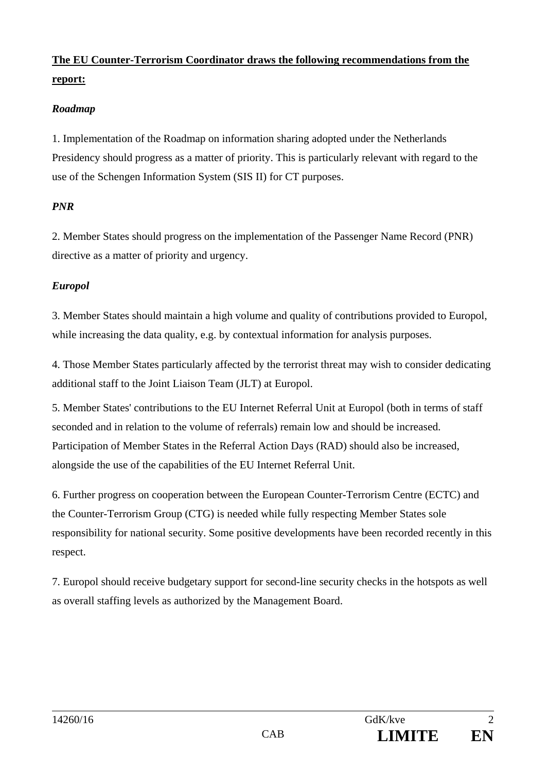# **The EU Counter-Terrorism Coordinator draws the following recommendations from the report:**

# *Roadmap*

1. Implementation of the Roadmap on information sharing adopted under the Netherlands Presidency should progress as a matter of priority. This is particularly relevant with regard to the use of the Schengen Information System (SIS II) for CT purposes.

# *PNR*

2. Member States should progress on the implementation of the Passenger Name Record (PNR) directive as a matter of priority and urgency.

# *Europol*

3. Member States should maintain a high volume and quality of contributions provided to Europol, while increasing the data quality, e.g. by contextual information for analysis purposes.

4. Those Member States particularly affected by the terrorist threat may wish to consider dedicating additional staff to the Joint Liaison Team (JLT) at Europol.

5. Member States' contributions to the EU Internet Referral Unit at Europol (both in terms of staff seconded and in relation to the volume of referrals) remain low and should be increased. Participation of Member States in the Referral Action Days (RAD) should also be increased, alongside the use of the capabilities of the EU Internet Referral Unit.

6. Further progress on cooperation between the European Counter-Terrorism Centre (ECTC) and the Counter-Terrorism Group (CTG) is needed while fully respecting Member States sole responsibility for national security. Some positive developments have been recorded recently in this respect.

7. Europol should receive budgetary support for second-line security checks in the hotspots as well as overall staffing levels as authorized by the Management Board.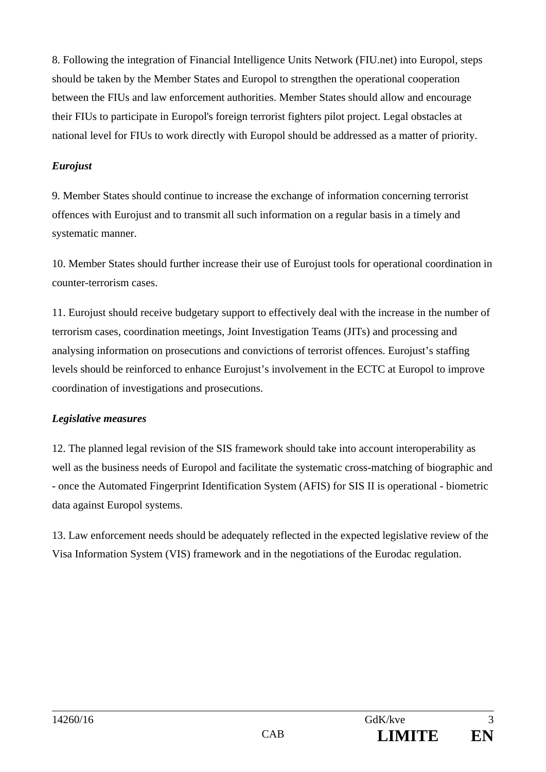8. Following the integration of Financial Intelligence Units Network (FIU.net) into Europol, steps should be taken by the Member States and Europol to strengthen the operational cooperation between the FIUs and law enforcement authorities. Member States should allow and encourage their FIUs to participate in Europol's foreign terrorist fighters pilot project. Legal obstacles at national level for FIUs to work directly with Europol should be addressed as a matter of priority.

#### *Eurojust*

9. Member States should continue to increase the exchange of information concerning terrorist offences with Eurojust and to transmit all such information on a regular basis in a timely and systematic manner.

10. Member States should further increase their use of Eurojust tools for operational coordination in counter-terrorism cases.

11. Eurojust should receive budgetary support to effectively deal with the increase in the number of terrorism cases, coordination meetings, Joint Investigation Teams (JITs) and processing and analysing information on prosecutions and convictions of terrorist offences. Eurojust's staffing levels should be reinforced to enhance Eurojust's involvement in the ECTC at Europol to improve coordination of investigations and prosecutions.

#### *Legislative measures*

12. The planned legal revision of the SIS framework should take into account interoperability as well as the business needs of Europol and facilitate the systematic cross-matching of biographic and - once the Automated Fingerprint Identification System (AFIS) for SIS II is operational - biometric data against Europol systems.

13. Law enforcement needs should be adequately reflected in the expected legislative review of the Visa Information System (VIS) framework and in the negotiations of the Eurodac regulation.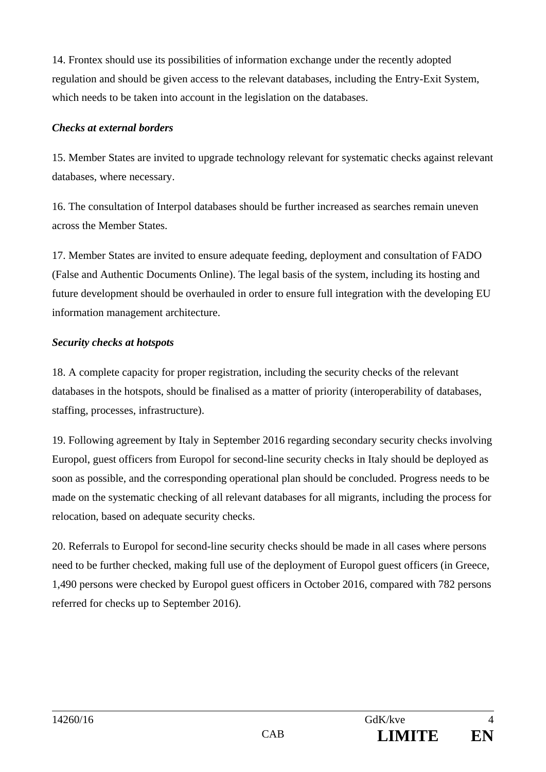14. Frontex should use its possibilities of information exchange under the recently adopted regulation and should be given access to the relevant databases, including the Entry-Exit System, which needs to be taken into account in the legislation on the databases.

# *Checks at external borders*

15. Member States are invited to upgrade technology relevant for systematic checks against relevant databases, where necessary.

16. The consultation of Interpol databases should be further increased as searches remain uneven across the Member States.

17. Member States are invited to ensure adequate feeding, deployment and consultation of FADO (False and Authentic Documents Online). The legal basis of the system, including its hosting and future development should be overhauled in order to ensure full integration with the developing EU information management architecture.

# *Security checks at hotspots*

18. A complete capacity for proper registration, including the security checks of the relevant databases in the hotspots, should be finalised as a matter of priority (interoperability of databases, staffing, processes, infrastructure).

19. Following agreement by Italy in September 2016 regarding secondary security checks involving Europol, guest officers from Europol for second-line security checks in Italy should be deployed as soon as possible, and the corresponding operational plan should be concluded. Progress needs to be made on the systematic checking of all relevant databases for all migrants, including the process for relocation, based on adequate security checks.

20. Referrals to Europol for second-line security checks should be made in all cases where persons need to be further checked, making full use of the deployment of Europol guest officers (in Greece, 1,490 persons were checked by Europol guest officers in October 2016, compared with 782 persons referred for checks up to September 2016).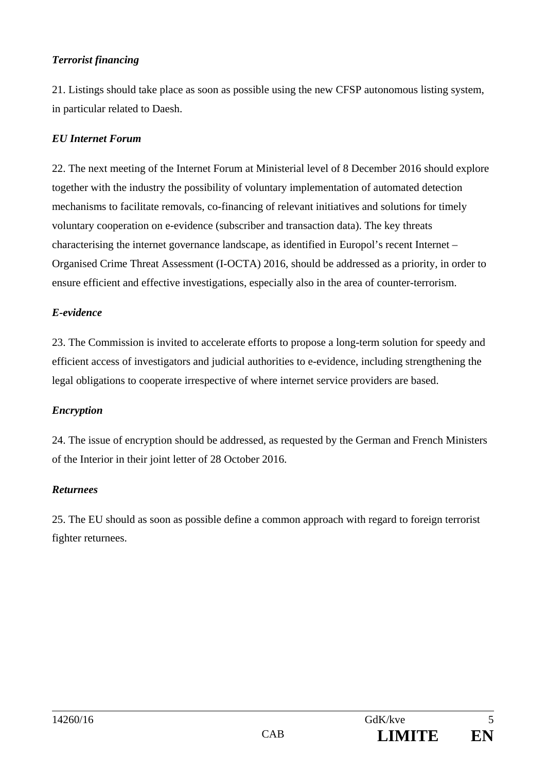# *Terrorist financing*

21. Listings should take place as soon as possible using the new CFSP autonomous listing system, in particular related to Daesh.

#### *EU Internet Forum*

22. The next meeting of the Internet Forum at Ministerial level of 8 December 2016 should explore together with the industry the possibility of voluntary implementation of automated detection mechanisms to facilitate removals, co-financing of relevant initiatives and solutions for timely voluntary cooperation on e-evidence (subscriber and transaction data). The key threats characterising the internet governance landscape, as identified in Europol's recent Internet – Organised Crime Threat Assessment (I-OCTA) 2016, should be addressed as a priority, in order to ensure efficient and effective investigations, especially also in the area of counter-terrorism.

#### *E-evidence*

23. The Commission is invited to accelerate efforts to propose a long-term solution for speedy and efficient access of investigators and judicial authorities to e-evidence, including strengthening the legal obligations to cooperate irrespective of where internet service providers are based.

#### *Encryption*

24. The issue of encryption should be addressed, as requested by the German and French Ministers of the Interior in their joint letter of 28 October 2016.

#### *Returnees*

25. The EU should as soon as possible define a common approach with regard to foreign terrorist fighter returnees.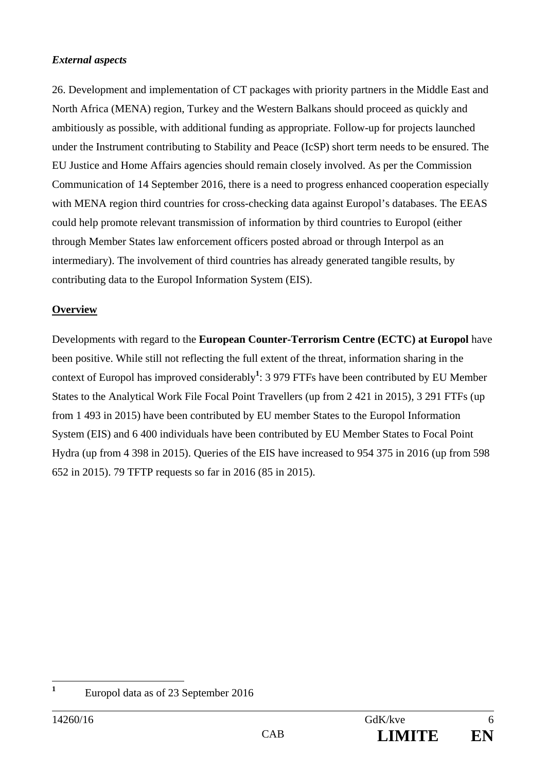# *External aspects*

26. Development and implementation of CT packages with priority partners in the Middle East and North Africa (MENA) region, Turkey and the Western Balkans should proceed as quickly and ambitiously as possible, with additional funding as appropriate. Follow-up for projects launched under the Instrument contributing to Stability and Peace (IcSP) short term needs to be ensured. The EU Justice and Home Affairs agencies should remain closely involved. As per the Commission Communication of 14 September 2016, there is a need to progress enhanced cooperation especially with MENA region third countries for cross-checking data against Europol's databases. The EEAS could help promote relevant transmission of information by third countries to Europol (either through Member States law enforcement officers posted abroad or through Interpol as an intermediary). The involvement of third countries has already generated tangible results, by contributing data to the Europol Information System (EIS).

# **Overview**

Developments with regard to the **European Counter-Terrorism Centre (ECTC) at Europol** have been positive. While still not reflecting the full extent of the threat, information sharing in the context of Europol has improved considerably**<sup>1</sup>** : 3 979 FTFs have been contributed by EU Member States to the Analytical Work File Focal Point Travellers (up from 2 421 in 2015), 3 291 FTFs (up from 1 493 in 2015) have been contributed by EU member States to the Europol Information System (EIS) and 6 400 individuals have been contributed by EU Member States to Focal Point Hydra (up from 4 398 in 2015). Queries of the EIS have increased to 954 375 in 2016 (up from 598 652 in 2015). 79 TFTP requests so far in 2016 (85 in 2015).

**1**

Europol data as of 23 September 2016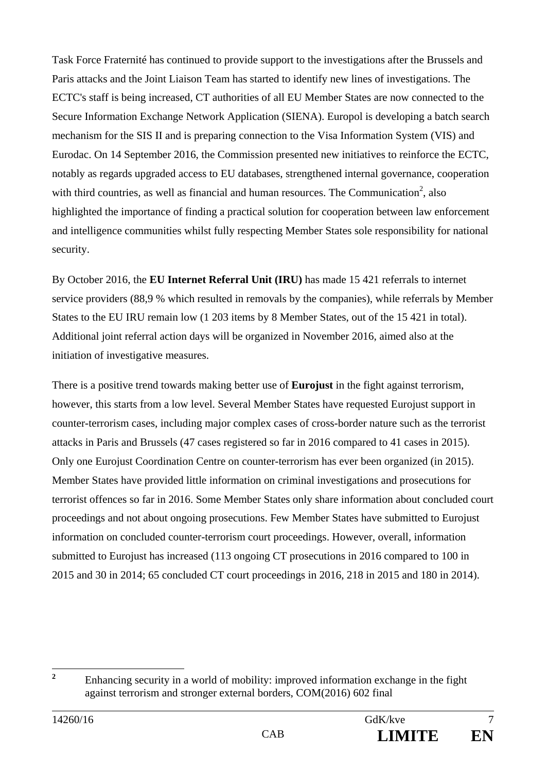Task Force Fraternité has continued to provide support to the investigations after the Brussels and Paris attacks and the Joint Liaison Team has started to identify new lines of investigations. The ECTC's staff is being increased, CT authorities of all EU Member States are now connected to the Secure Information Exchange Network Application (SIENA). Europol is developing a batch search mechanism for the SIS II and is preparing connection to the Visa Information System (VIS) and Eurodac. On 14 September 2016, the Commission presented new initiatives to reinforce the ECTC, notably as regards upgraded access to EU databases, strengthened internal governance, cooperation with third countries, as well as financial and human resources. The Communication<sup>2</sup>, also highlighted the importance of finding a practical solution for cooperation between law enforcement and intelligence communities whilst fully respecting Member States sole responsibility for national security.

By October 2016, the **EU Internet Referral Unit (IRU)** has made 15 421 referrals to internet service providers (88,9 % which resulted in removals by the companies), while referrals by Member States to the EU IRU remain low (1 203 items by 8 Member States, out of the 15 421 in total). Additional joint referral action days will be organized in November 2016, aimed also at the initiation of investigative measures.

There is a positive trend towards making better use of **Eurojust** in the fight against terrorism, however, this starts from a low level. Several Member States have requested Eurojust support in counter-terrorism cases, including major complex cases of cross-border nature such as the terrorist attacks in Paris and Brussels (47 cases registered so far in 2016 compared to 41 cases in 2015). Only one Eurojust Coordination Centre on counter-terrorism has ever been organized (in 2015). Member States have provided little information on criminal investigations and prosecutions for terrorist offences so far in 2016. Some Member States only share information about concluded court proceedings and not about ongoing prosecutions. Few Member States have submitted to Eurojust information on concluded counter-terrorism court proceedings. However, overall, information submitted to Eurojust has increased (113 ongoing CT prosecutions in 2016 compared to 100 in 2015 and 30 in 2014; 65 concluded CT court proceedings in 2016, 218 in 2015 and 180 in 2014).

 **2** Enhancing security in a world of mobility: improved information exchange in the fight against terrorism and stronger external borders, COM(2016) 602 final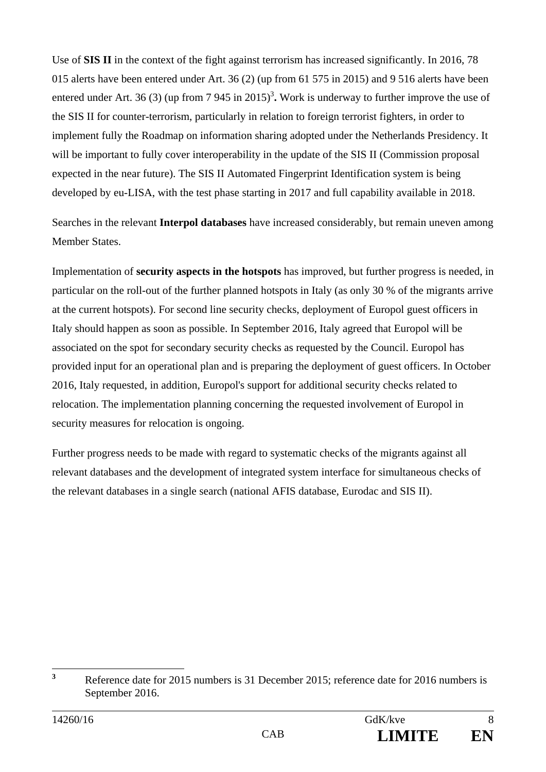Use of **SIS II** in the context of the fight against terrorism has increased significantly. In 2016, 78 015 alerts have been entered under Art. 36 (2) (up from 61 575 in 2015) and 9 516 alerts have been entered under Art. 36 (3) (up from  $7 \frac{945 \text{ in } 2015)^3}$ . Work is underway to further improve the use of the SIS II for counter-terrorism, particularly in relation to foreign terrorist fighters, in order to implement fully the Roadmap on information sharing adopted under the Netherlands Presidency. It will be important to fully cover interoperability in the update of the SIS II (Commission proposal expected in the near future). The SIS II Automated Fingerprint Identification system is being developed by eu-LISA, with the test phase starting in 2017 and full capability available in 2018.

Searches in the relevant **Interpol databases** have increased considerably, but remain uneven among Member States.

Implementation of **security aspects in the hotspots** has improved, but further progress is needed, in particular on the roll-out of the further planned hotspots in Italy (as only 30 % of the migrants arrive at the current hotspots). For second line security checks, deployment of Europol guest officers in Italy should happen as soon as possible. In September 2016, Italy agreed that Europol will be associated on the spot for secondary security checks as requested by the Council. Europol has provided input for an operational plan and is preparing the deployment of guest officers. In October 2016, Italy requested, in addition, Europol's support for additional security checks related to relocation. The implementation planning concerning the requested involvement of Europol in security measures for relocation is ongoing.

Further progress needs to be made with regard to systematic checks of the migrants against all relevant databases and the development of integrated system interface for simultaneous checks of the relevant databases in a single search (national AFIS database, Eurodac and SIS II).

 **3** Reference date for 2015 numbers is 31 December 2015; reference date for 2016 numbers is September 2016.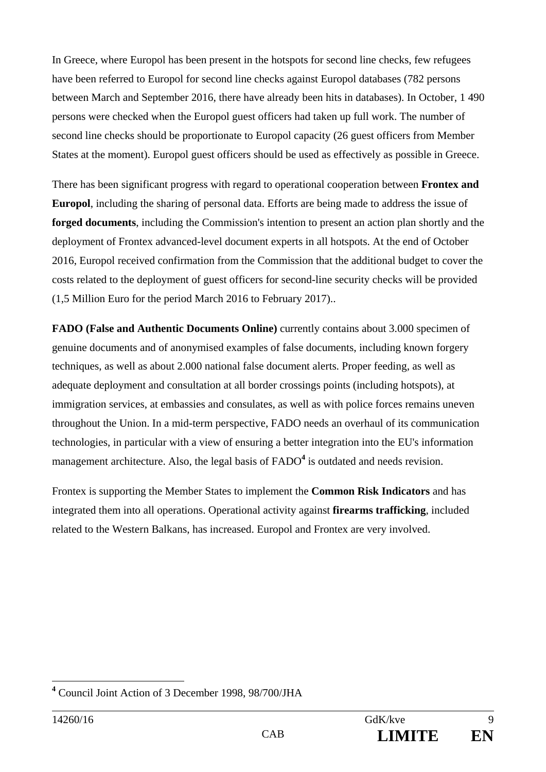In Greece, where Europol has been present in the hotspots for second line checks, few refugees have been referred to Europol for second line checks against Europol databases (782 persons between March and September 2016, there have already been hits in databases). In October, 1 490 persons were checked when the Europol guest officers had taken up full work. The number of second line checks should be proportionate to Europol capacity (26 guest officers from Member States at the moment). Europol guest officers should be used as effectively as possible in Greece.

There has been significant progress with regard to operational cooperation between **Frontex and Europol**, including the sharing of personal data. Efforts are being made to address the issue of **forged documents**, including the Commission's intention to present an action plan shortly and the deployment of Frontex advanced-level document experts in all hotspots. At the end of October 2016, Europol received confirmation from the Commission that the additional budget to cover the costs related to the deployment of guest officers for second-line security checks will be provided (1,5 Million Euro for the period March 2016 to February 2017)..

**FADO (False and Authentic Documents Online)** currently contains about 3.000 specimen of genuine documents and of anonymised examples of false documents, including known forgery techniques, as well as about 2.000 national false document alerts. Proper feeding, as well as adequate deployment and consultation at all border crossings points (including hotspots), at immigration services, at embassies and consulates, as well as with police forces remains uneven throughout the Union. In a mid-term perspective, FADO needs an overhaul of its communication technologies, in particular with a view of ensuring a better integration into the EU's information management architecture. Also, the legal basis of FADO<sup>4</sup> is outdated and needs revision.

Frontex is supporting the Member States to implement the **Common Risk Indicators** and has integrated them into all operations. Operational activity against **firearms trafficking**, included related to the Western Balkans, has increased. Europol and Frontex are very involved.

 $\overline{a}$ **4** Council Joint Action of 3 December 1998, 98/700/JHA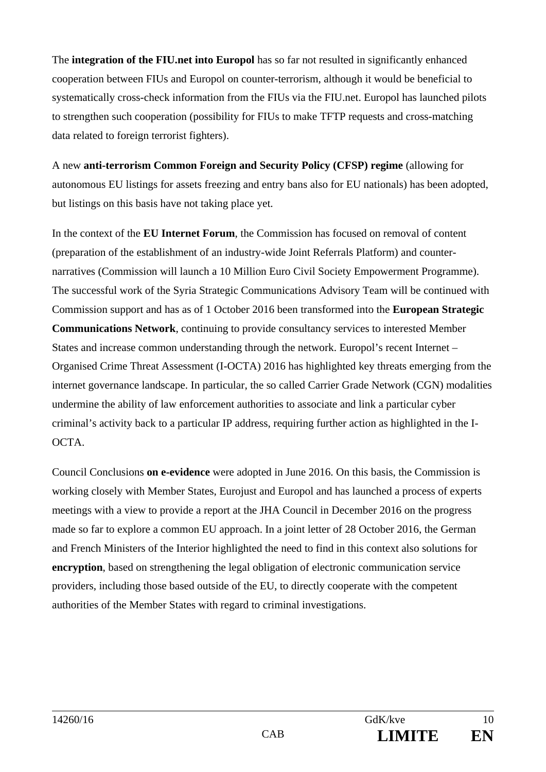The **integration of the FIU.net into Europol** has so far not resulted in significantly enhanced cooperation between FIUs and Europol on counter-terrorism, although it would be beneficial to systematically cross-check information from the FIUs via the FIU.net. Europol has launched pilots to strengthen such cooperation (possibility for FIUs to make TFTP requests and cross-matching data related to foreign terrorist fighters).

A new **anti-terrorism Common Foreign and Security Policy (CFSP) regime** (allowing for autonomous EU listings for assets freezing and entry bans also for EU nationals) has been adopted, but listings on this basis have not taking place yet.

In the context of the **EU Internet Forum**, the Commission has focused on removal of content (preparation of the establishment of an industry-wide Joint Referrals Platform) and counternarratives (Commission will launch a 10 Million Euro Civil Society Empowerment Programme). The successful work of the Syria Strategic Communications Advisory Team will be continued with Commission support and has as of 1 October 2016 been transformed into the **European Strategic Communications Network**, continuing to provide consultancy services to interested Member States and increase common understanding through the network. Europol's recent Internet – Organised Crime Threat Assessment (I-OCTA) 2016 has highlighted key threats emerging from the internet governance landscape. In particular, the so called Carrier Grade Network (CGN) modalities undermine the ability of law enforcement authorities to associate and link a particular cyber criminal's activity back to a particular IP address, requiring further action as highlighted in the I-OCTA.

Council Conclusions **on e-evidence** were adopted in June 2016. On this basis, the Commission is working closely with Member States, Eurojust and Europol and has launched a process of experts meetings with a view to provide a report at the JHA Council in December 2016 on the progress made so far to explore a common EU approach. In a joint letter of 28 October 2016, the German and French Ministers of the Interior highlighted the need to find in this context also solutions for **encryption**, based on strengthening the legal obligation of electronic communication service providers, including those based outside of the EU, to directly cooperate with the competent authorities of the Member States with regard to criminal investigations.